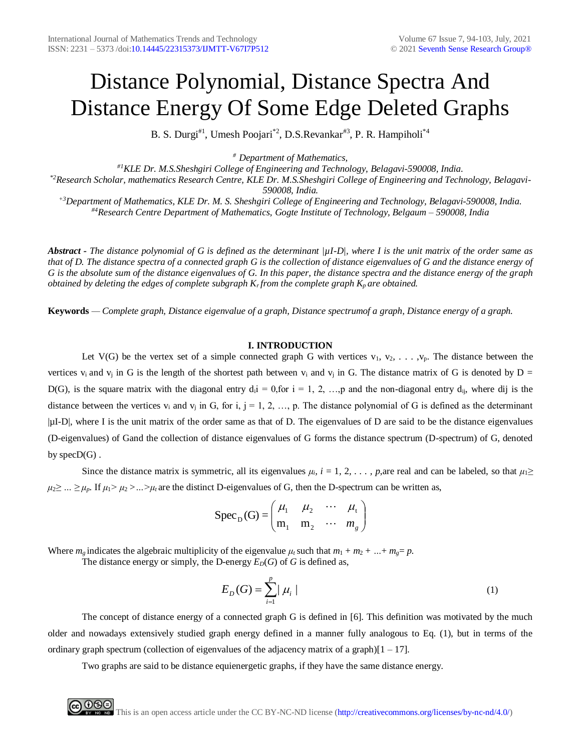# Distance Polynomial, Distance Spectra And Distance Energy Of Some Edge Deleted Graphs

B. S. Durgi<sup>#1</sup>, Umesh Poojari<sup>\*2</sup>, D.S.Revankar<sup>#3</sup>, P. R. Hampiholi<sup>\*4</sup>

*# Department of Mathematics,*

*#1KLE Dr. M.S.Sheshgiri College of Engineering and Technology, Belagavi-590008, India. \*2Research Scholar, mathematics Research Centre, KLE Dr. M.S.Sheshgiri College of Engineering and Technology, Belagavi-590008, India. +3Department of Mathematics, KLE Dr. M. S. Sheshgiri College of Engineering and Technology, Belagavi-590008, India. #4Research Centre Department of Mathematics, Gogte Institute of Technology, Belgaum – 590008, India*

*Abstract - The distance polynomial of G is defined as the determinant |µI-D|, where I is the unit matrix of the order same as that of D. The distance spectra of a connected graph G is the collection of distance eigenvalues of G and the distance energy of G is the absolute sum of the distance eigenvalues of G. In this paper, the distance spectra and the distance energy of the graph obtained by deleting the edges of complete subgraph Kr from the complete graph Kp are obtained.*

**Keywords** *— Complete graph, Distance eigenvalue of a graph, Distance spectrumof a graph, Distance energy of a graph.*

## **I. INTRODUCTION**

Let V(G) be the vertex set of a simple connected graph G with vertices  $v_1, v_2, \ldots, v_p$ . The distance between the vertices  $v_i$  and  $v_j$  in G is the length of the shortest path between  $v_i$  and  $v_j$  in G. The distance matrix of G is denoted by D = D(G), is the square matrix with the diagonal entry  $d_i = 0$ , for  $i = 1, 2, \ldots$ , p and the non-diagonal entry  $d_{ii}$ , where dij is the distance between the vertices  $v_i$  and  $v_j$  in G, for i, j = 1, 2, ..., p. The distance polynomial of G is defined as the determinant |µI-D|, where I is the unit matrix of the order same as that of D. The eigenvalues of D are said to be the distance eigenvalues (D-eigenvalues) of Gand the collection of distance eigenvalues of G forms the distance spectrum (D-spectrum) of G, denoted by  $specD(G)$ .

Since the distance matrix is symmetric, all its eigenvalues  $\mu_i$ ,  $i = 1, 2, \ldots$ , p,are real and can be labeled, so that  $\mu_1 \geq$  $\mu_2 \geq \ldots \geq \mu_p$ . If  $\mu_1 > \mu_2 > \ldots > \mu_t$  are the distinct D-eigenvalues of G, then the D-spectrum can be written as,

$$
Spec_{D}(G) = \begin{pmatrix} \mu_1 & \mu_2 & \cdots & \mu_t \\ m_1 & m_2 & \cdots & m_g \end{pmatrix}
$$

Where  $m<sub>e</sub>$  indicates the algebraic multiplicity of the eigenvalue  $\mu<sub>t</sub>$  such that  $m_1 + m_2 + ... + m_e = p$ . The distance energy or simply, the D-energy  $E_D(G)$  of *G* is defined as,

$$
E_D(G) = \sum_{i=1}^{p} |\mu_i| \tag{1}
$$

The concept of distance energy of a connected graph G is defined in [6]. This definition was motivated by the much older and nowadays extensively studied graph energy defined in a manner fully analogous to Eq. (1), but in terms of the ordinary graph spectrum (collection of eigenvalues of the adjacency matrix of a graph) $[1 - 17]$ .

Two graphs are said to be distance equienergetic graphs, if they have the same distance energy.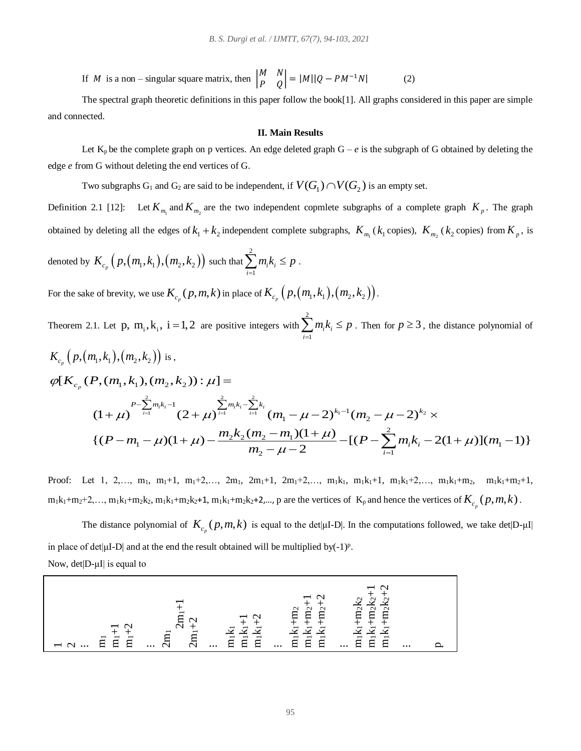If *M* is a non – singular square matrix, then  $\begin{bmatrix} M & N \\ D & Q \end{bmatrix}$  $\begin{vmatrix} N & N \\ P & Q \end{vmatrix} = |M||Q - PM^{-1}N|$  (2)

The spectral graph theoretic definitions in this paper follow the book[1]. All graphs considered in this paper are simple and connected.

#### **II. Main Results**

Let  $K_p$  be the complete graph on p vertices. An edge deleted graph  $G - e$  is the subgraph of G obtained by deleting the edge *e* from G without deleting the end vertices of G.

Two subgraphs  $G_1$  and  $G_2$  are said to be independent, if  $V(G_1) \cap V(G_2)$  is an empty set.

Definition 2.1 [12]: Let  $K_{m_1}$  and  $K_{m_2}$  are the two independent copmlete subgraphs of a complete graph  $K_p$ . The graph obtained by deleting all the edges of  $k_1 + k_2$  independent complete subgraphs,  $K_{m_1}(k_1)$  copies),  $K_{m_2}(k_2)$  copies) from  $K_p$ , is

denoted by 
$$
K_{c_p}\left(p,(m_1,k_1),(m_2,k_2)\right)
$$
 such that  $\sum_{i=1}^2 m_i k_i \leq p$ .

For the sake of brevity, we use  $K_{c_p}(p,m,k)$  in place of  $K_{c_p}\left(p,\left(m_1,k_1\right),\left(m_2,k_2\right)\right)$ .

Theorem 2.1. Let p,  $m_i, k_i$ ,  $i = 1,2$  are positive integers with 2 1 *i i i*  $\sum_{i=1}^{n} m_i k_i \leq p$ . Then for  $p \geq 3$ , the distance polynomial of

$$
K_{c_p}\left(p,(m_1,k_1),(m_2,k_2)\right) \text{ is,}
$$
\n
$$
\varphi[K_{c_p}(P,(m_1,k_1),(m_2,k_2)) : \mu] =
$$
\n
$$
(1+\mu)^{P-\sum_{i=1}^{2}m_ik_i-1} (2+\mu)^{\sum_{i=1}^{2}m_ik_i-\sum_{i=1}^{2}k_i} (m_1-\mu-2)^{k_1-1}(m_2-\mu-2)^{k_2} \times
$$
\n
$$
\{(P-m_1-\mu)(1+\mu)-\frac{m_2k_2(m_2-m_1)(1+\mu)}{m_2-\mu-2} - [(P-\sum_{i=1}^{2}m_ik_i-2(1+\mu)](m_1-1)\}
$$

Proof: Let 1, 2,…, m<sub>1</sub>, m<sub>1</sub>+1, m<sub>1</sub>+2,…, 2m<sub>1</sub>, 2m<sub>1</sub>+1, 2m<sub>1</sub>+2,…, m<sub>1</sub>k<sub>1</sub>, m<sub>1</sub>k<sub>1</sub>+1, m<sub>1</sub>k<sub>1</sub>+2,…, m<sub>1</sub>k<sub>1</sub>+m<sub>2</sub>, m<sub>1</sub>k<sub>1</sub>+m<sub>2</sub>+1,  $m_1k_1+m_2+2,..., m_1k_1+m_2k_2, m_1k_1+m_2k_2+1, m_1k_1+m_2k_2+2,..., p$  are the vertices of  $K_p$  and hence the vertices of  $K_{c_p}(p,m,k)$ .

The distance polynomial of  $K_{c_p}(p,m,k)$  is equal to the det|μI-D|. In the computations followed, we take det|D-μI| in place of det $|\mu I-D|$  and at the end the result obtained will be multiplied by(-1)<sup>p</sup>.

Now, det|D-μI| is equal to

|                                                                                                                        |                           | $\overline{\phantom{0}}$                                                    | $\overline{\phantom{0}}$<br>$\scriptstyle\sim$<br>$\mathbf{\sim}$<br>$\scriptstyle\sim$<br>冖<br>┍<br>−<br>$\overline{\phantom{0}}$<br>− | $\sim$<br>$\sim$<br>$\sim$<br>⊂<br>-<br>$\overline{\phantom{0}}$<br>−                                                  |          |  |
|------------------------------------------------------------------------------------------------------------------------|---------------------------|-----------------------------------------------------------------------------|-----------------------------------------------------------------------------------------------------------------------------------------|------------------------------------------------------------------------------------------------------------------------|----------|--|
| $\overline{\phantom{0}}$<br>⇁<br>$\mathbf{\overline{}}$<br>日<br><b>__</b><br>┍<br>$\overline{\phantom{0}}$<br>$\cdots$ | ⊏<br>$\cdots$<br>$\cdots$ | $\overline{\phantom{0}}$<br>$\overline{m}$<br>$\overline{\phantom{0}}$<br>日 | $\overline{\phantom{0}}$<br>$\overline{\phantom{0}}$<br>$\overline{\phantom{0}}$<br>ਸ<br>⊂<br>⊟<br>$\cdots$                             | $\overline{\phantom{0}}$<br>−<br>$\mathbf{\mathbf{\mathsf{C}}}\mathbf{ }$<br>$\overline{\phantom{0}}$<br>⊟<br>$\cdots$ | $\cdots$ |  |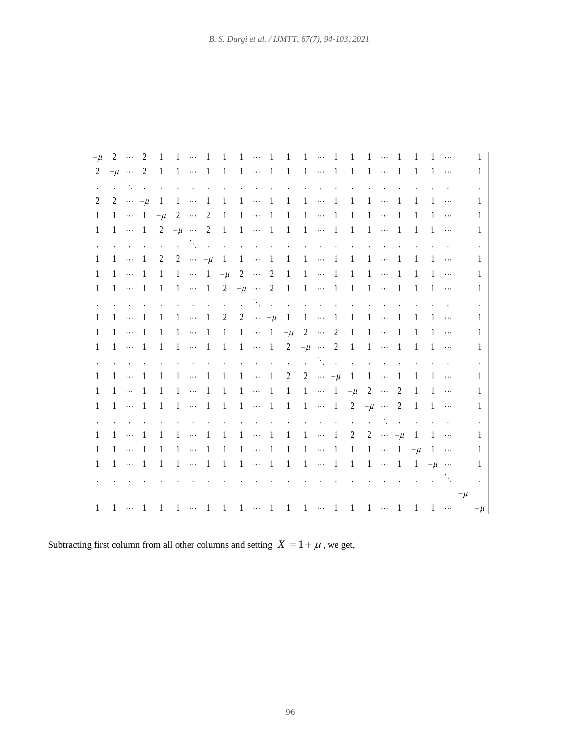| $-\mu$         |  |  |  |                                                                                                                                                                                                                           |  |  |  |  |  |                                                                                                                                                                                                                                |  |        | $\mathbf{1}$ |
|----------------|--|--|--|---------------------------------------------------------------------------------------------------------------------------------------------------------------------------------------------------------------------------|--|--|--|--|--|--------------------------------------------------------------------------------------------------------------------------------------------------------------------------------------------------------------------------------|--|--------|--------------|
| $\overline{2}$ |  |  |  | $-\mu$ 2 1 1  1 1 1  1 1 1  1 1 1  1 1 1                                                                                                                                                                                  |  |  |  |  |  |                                                                                                                                                                                                                                |  |        | $\mathbf{1}$ |
|                |  |  |  | المواصل والمستحق والمستحق والمستحق والمستحق والمستحق والمستحق والمستحق والمستحق والمستحق والمستحقة                                                                                                                        |  |  |  |  |  |                                                                                                                                                                                                                                |  |        | $\Box$       |
| 2              |  |  |  | 2 $-\mu$ 1 1  1 1 1  1 1 1  1 1 1  1 1 1                                                                                                                                                                                  |  |  |  |  |  |                                                                                                                                                                                                                                |  |        | 1            |
| $\mathbf{1}$   |  |  |  | $1 \cdots 1 - \mu 2 \cdots 2 1 1 \cdots 1 1 1 \cdots 1 1 1 \cdots 1 1 1 \cdots$                                                                                                                                           |  |  |  |  |  |                                                                                                                                                                                                                                |  |        | 1            |
| 1              |  |  |  | $1 \cdots 1$ 2 $-\mu$ $\cdots$ 2 1 1 $\cdots$ 1 1 $\cdots$ 1 1 1 $\cdots$ 1 1 1 $\cdots$                                                                                                                                  |  |  |  |  |  |                                                                                                                                                                                                                                |  |        | 1            |
|                |  |  |  | and the contract of the contract of the contract of the contract of                                                                                                                                                       |  |  |  |  |  | and the contract of the                                                                                                                                                                                                        |  |        | $\Box$       |
| 1              |  |  |  |                                                                                                                                                                                                                           |  |  |  |  |  |                                                                                                                                                                                                                                |  |        | $\mathbf{1}$ |
| $\mathbf{1}$   |  |  |  | $1 \cdots 1 \quad 1 \quad 1 \cdots 1 \quad -\mu \quad 2 \quad \cdots \quad 2 \quad 1 \quad 1 \quad \cdots \quad 1 \quad 1 \quad 1 \quad \cdots \quad 1 \quad 1 \quad 1 \quad \cdots$                                      |  |  |  |  |  |                                                                                                                                                                                                                                |  |        | $\mathbf{1}$ |
| $\mathbf{1}$   |  |  |  | $1 \cdots 1 \quad 1 \quad 1 \cdots 1 \quad 2 \quad -\mu \cdots 2 \quad 1 \quad 1 \quad \cdots 1 \quad 1 \quad 1 \cdots 1 \quad 1 \quad 1 \cdots$                                                                          |  |  |  |  |  |                                                                                                                                                                                                                                |  |        | $\mathbf{1}$ |
|                |  |  |  | the contract of the contract of the contract of the contract of the contract of the contract of the                                                                                                                       |  |  |  |  |  |                                                                                                                                                                                                                                |  |        | $\Box$       |
| 1              |  |  |  | $1 \cdots 1 \quad 1 \quad 1 \cdots 1 \quad 2 \quad 2 \cdots -\mu \quad 1 \quad 1 \cdots 1 \quad 1 \quad 1 \cdots 1 \quad 1 \quad 1 \cdots$                                                                                |  |  |  |  |  |                                                                                                                                                                                                                                |  |        | $\mathbf{1}$ |
| 1              |  |  |  | $1\ \ \cdots\ \ 1\quad \ 1\quad \ 1\quad \ 1\quad \ \cdots\ \ 1\quad \ 1\quad \ 1\quad \ \cdots\ \ 1\quad \, -\mu\quad \ 2\quad \ \cdots\quad \ 2\quad \ 1\quad \ 1\quad \cdots\quad \ 1\quad \ 1\quad \ 1\quad \ \cdots$ |  |  |  |  |  |                                                                                                                                                                                                                                |  |        | 1            |
| $\mathbf{1}$   |  |  |  | $1 \cdots 1 \quad 1 \quad 1 \cdots 1 \quad 1 \quad 1 \cdots 1 \quad 2 \quad -\mu \cdots 2 \quad 1 \quad 1 \cdots 1 \quad 1 \quad 1 \cdots$                                                                                |  |  |  |  |  |                                                                                                                                                                                                                                |  |        | 1            |
|                |  |  |  | the contract of the contract of the contract of the contract of the contract of                                                                                                                                           |  |  |  |  |  |                                                                                                                                                                                                                                |  |        |              |
| 1              |  |  |  | $1\ \ \cdots\ \ 1\quad \ 1\quad \ 1\quad \ 1\quad \ \cdots\ \ 1\quad \ 1\quad \ 1\quad \ \cdots\ \ 1\quad \ 2\quad \ 2\quad \ \cdots\ \ -\mu\quad \ 1\quad \ 1\quad \cdots\quad \ 1\quad \ 1\quad \ 1\quad \ \cdots$      |  |  |  |  |  |                                                                                                                                                                                                                                |  |        | $\mathbf{1}$ |
| $\mathbf{1}$   |  |  |  | $1 \cdots 1 \quad 1 \quad 1 \cdots 1 \quad 1 \quad 1 \cdots 1 \quad 1 \quad 1 \cdots 1 \quad 1 \cdots 1 \quad -\mu \quad 2 \cdots 2 \quad 1 \quad 1 \cdots$                                                               |  |  |  |  |  |                                                                                                                                                                                                                                |  |        | 1            |
| 1              |  |  |  | 1  1 1 1  1 1 1  1 1 1  1 2 $-\mu$ 2 1 1                                                                                                                                                                                  |  |  |  |  |  |                                                                                                                                                                                                                                |  |        | $\mathbf{1}$ |
|                |  |  |  |                                                                                                                                                                                                                           |  |  |  |  |  | and the contract of the contract of the contract of the contract of the contract of the contract of the contract of the contract of the contract of the contract of the contract of the contract of the contract of the contra |  |        |              |
| -1             |  |  |  | 1  1 1 1 1 1 1 1 1 1 1 1 1 1 2 2 $\cdots$ - $\mu$ 1 1 $\cdots$                                                                                                                                                            |  |  |  |  |  |                                                                                                                                                                                                                                |  |        | -1           |
| $\mathbf{1}$   |  |  |  | $1 \cdots 1 \quad 1 \quad 1 \cdots 1 \quad 1 \quad 1 \cdots 1 \quad 1 \quad 1 \cdots 1 \quad 1 \quad 1 \cdots 1 \quad 1 \cdots 1 \quad -\mu \quad 1 \cdots$                                                               |  |  |  |  |  |                                                                                                                                                                                                                                |  |        | 1            |
| 1              |  |  |  | 1  1 1 1  1 1 1  1 1 1  1 1 1  1 1 - 1                                                                                                                                                                                    |  |  |  |  |  |                                                                                                                                                                                                                                |  |        | $\mathbf{1}$ |
|                |  |  |  |                                                                                                                                                                                                                           |  |  |  |  |  | $\mathcal{L}^{\mathcal{A}}$ and $\mathcal{L}^{\mathcal{A}}$ are the set of the set of $\mathcal{L}^{\mathcal{A}}$                                                                                                              |  |        |              |
|                |  |  |  |                                                                                                                                                                                                                           |  |  |  |  |  |                                                                                                                                                                                                                                |  | $-\mu$ |              |
| $\mathbf{1}$   |  |  |  | $1 \cdots 1 \cdot 1 \cdot 1 \cdots 1 \cdot 1 \cdot 1 \cdots 1 \cdot 1 \cdot 1 \cdots 1 \cdot 1 \cdot 1 \cdots 1 \cdot 1 \cdot 1 \cdots$                                                                                   |  |  |  |  |  |                                                                                                                                                                                                                                |  |        | $-\mu$       |

Subtracting first column from all other columns and setting  $X = 1 + \mu$ , we get,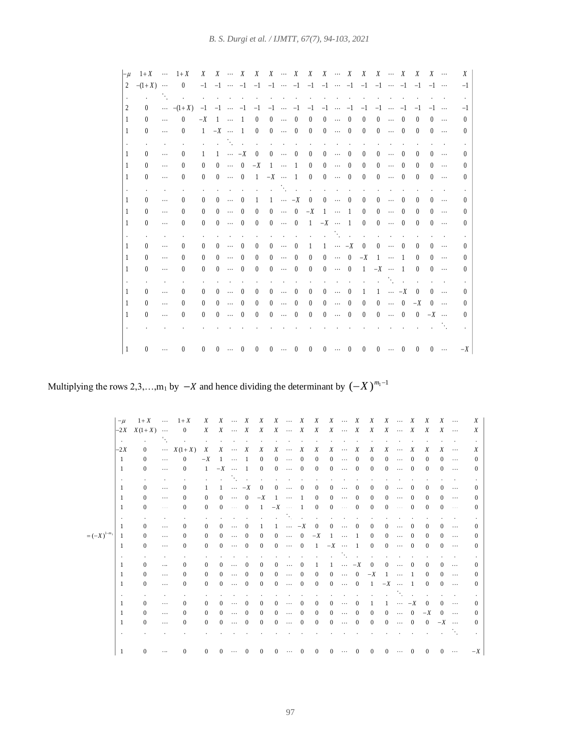| $-\mu$         | $1+X$ $\cdots$ $1+X$ |                         |                            | X              |                         |              |                | $X \quad \cdots \quad X \quad X \quad X \quad \cdots \quad X \quad X \quad X \quad \cdots \quad X \quad X \quad X \quad \cdots \quad X \quad X$                              |              |                             |              |                                                                                |              |              |                                                                                                                 |              |              |                |                          | $X \cdots$ |                  | X                |
|----------------|----------------------|-------------------------|----------------------------|----------------|-------------------------|--------------|----------------|------------------------------------------------------------------------------------------------------------------------------------------------------------------------------|--------------|-----------------------------|--------------|--------------------------------------------------------------------------------|--------------|--------------|-----------------------------------------------------------------------------------------------------------------|--------------|--------------|----------------|--------------------------|------------|------------------|------------------|
| $\overline{2}$ | $-(1+X)$             |                         | $\sim$ 0                   |                |                         |              |                |                                                                                                                                                                              |              |                             |              |                                                                                |              |              |                                                                                                                 |              |              |                |                          |            |                  | $-1$             |
|                |                      |                         | and the state of the state |                | the control of the con- |              |                |                                                                                                                                                                              |              | and the control of the con- |              |                                                                                |              |              | the contract of the contract of the contract of the contract of the contract of the contract of the contract of |              |              |                |                          |            |                  |                  |
|                | $^{\circ}$           |                         | $\cdots$ $-(1+X)$          |                |                         |              |                | $-1$ $-1$ $\cdots$ $-1$ $-1$ $-1$ $\cdots$ $-1$ $-1$ $-1$ $\cdots$ $-1$ $-1$ $-1$ $\cdots$ $-1$ $-1$ $-1$                                                                    |              |                             |              |                                                                                |              |              |                                                                                                                 |              |              |                |                          |            |                  | $-1$             |
|                | $\Omega$             | $\cdots$                | $\theta$                   |                |                         |              |                | $-X$ 1 $\cdots$ 1 0 0 $\cdots$ 0                                                                                                                                             |              |                             |              | $\overline{0}$                                                                 | $0 \cdots 0$ |              | $\overline{0}$                                                                                                  | $0 \cdots 0$ |              |                | $\overline{0}$           |            | $0 \cdots$       | $\theta$         |
|                | $\Omega$             | $\ldots$                | $\theta$                   |                |                         |              |                | $1 - X \cdots 1 0 0 \cdots 0$                                                                                                                                                |              |                             |              | $\overline{0}$                                                                 | $0 \cdots 0$ |              | $\overline{0}$                                                                                                  | $0 \cdots 0$ |              |                | $\overline{0}$           |            | $0 \cdots$       | $\theta$         |
|                |                      | $\mathbf{r}$            | s.                         |                |                         |              |                | and the company of the company of the                                                                                                                                        |              |                             |              |                                                                                |              |              |                                                                                                                 |              |              |                |                          |            | $\sim$ 100 $\mu$ |                  |
|                | $\Omega$             | $\ldots$                | $\left( \right)$           |                |                         |              |                | $1 \quad 1 \quad \cdots \quad -X \quad 0 \quad 0 \quad \cdots \quad 0$                                                                                                       |              |                             |              | $\theta$                                                                       |              | $0 \cdots 0$ | $\theta$                                                                                                        |              | $0 \cdots 0$ |                | $\theta$                 |            | $0 \cdots$       | $\left( \right)$ |
|                | $\Omega$             | $\cdots$                | $\theta$                   | $\theta$       |                         |              |                | $0 \cdots 0 -X 1 \cdots 1$                                                                                                                                                   |              |                             |              | $\overline{0}$                                                                 |              | $0 \cdots 0$ | $\theta$                                                                                                        |              | $0 \cdots$   | $\overline{0}$ | $\Omega$                 |            | $0 \cdots$       | 0                |
|                | $\Omega$             | $\cdots$                | $\left( \right)$           | $\theta$       |                         |              |                | $0 \cdots 0 \quad 1 \quad -X \cdots 1 \quad 0$                                                                                                                               |              |                             |              |                                                                                | $0 \cdots 0$ |              | $\overline{0}$                                                                                                  | $0 \cdots 0$ |              |                | $\theta$                 |            | $0 \cdots$       | $^{(1)}$         |
|                |                      |                         |                            |                |                         |              |                | and the state of the state                                                                                                                                                   |              |                             |              | $\sim$                                                                         |              |              |                                                                                                                 |              |              |                |                          |            |                  |                  |
|                | $\theta$             | $\cdots$                | $\left( \right)$           | $\overline{0}$ | $0 \cdots$              |              |                | $0 \quad 1$                                                                                                                                                                  |              |                             |              | $1 \cdots -X \quad 0 \quad 0 \cdots \quad 0$                                   |              |              | $\overline{0}$                                                                                                  | $0 \cdots 0$ |              |                | $\theta$                 |            | $0 \ldots$       | $\theta$         |
|                | $\Omega$             | $\ldots$                | $\left( \right)$           | $\theta$       |                         | $0 \cdots$   | $\overline{0}$ | $\overline{0}$                                                                                                                                                               |              |                             |              | $0 \cdots 0 -X 1 \cdots 1$                                                     |              |              | $\overline{0}$                                                                                                  |              | $0 \cdots 0$ |                | $\theta$                 |            | $0 \cdots$       | $\theta$         |
|                | $\theta$             | $\cdots$                | $\theta$                   | $\theta$       | $0 \cdots 0$            |              |                |                                                                                                                                                                              |              |                             |              | $0 \quad 0 \quad \cdots \quad 0 \quad 1 \quad -X \quad \cdots \quad 1 \quad 0$ |              |              |                                                                                                                 | $0 \cdots 0$ |              |                | $\theta$                 |            | $0 \cdots$       | $\theta$         |
|                |                      |                         |                            |                |                         |              |                |                                                                                                                                                                              |              |                             |              |                                                                                |              |              | and the company of the company of                                                                               |              |              | $\sim 10$      |                          |            |                  |                  |
|                | $\theta$             | $\ldots$                | $\theta$                   | $\theta$       |                         | $0 \cdots$   | $\overline{0}$ | $\theta$                                                                                                                                                                     |              |                             | $0 \cdots 0$ |                                                                                |              |              | $1 \quad 1 \quad \cdots \quad -X \quad 0 \quad 0 \quad \cdots \quad 0$                                          |              |              |                | $\overline{0}$           |            | $0 \cdots$       | $\Omega$         |
|                | $\theta$             | $\cdots$                | $\theta$                   | $\theta$       |                         | $0 \cdots$   | $\overline{0}$ | $\theta$                                                                                                                                                                     |              | $0 \cdots 0$                |              | $\theta$                                                                       |              |              | $0 \cdots 0 \quad -X \quad 1 \quad \cdots \quad 1$                                                              |              |              |                | $\theta$                 |            | $0 \cdots$       | $\theta$         |
|                | $\theta$             | $\ldots$                | $\left( \right)$           | $\theta$       |                         | $0 \cdots 0$ |                | $\overline{0}$                                                                                                                                                               | $0 \cdots 0$ |                             |              | $\theta$                                                                       |              |              | $0 \cdots 0 \quad 1 \quad -X \cdots 1$                                                                          |              |              |                | $\overline{0}$           | $0 \cdots$ |                  | $\theta$         |
|                |                      |                         |                            |                |                         |              |                |                                                                                                                                                                              |              |                             |              |                                                                                |              |              |                                                                                                                 |              |              |                | <b>Contractor</b>        |            |                  |                  |
|                | $\theta$             | $\ldots$                | $\theta$                   | $\mathbf{0}$   |                         | $0 \cdots$   | $\overline{0}$ | $\overline{0}$                                                                                                                                                               |              | $0 \cdots 0$                |              | $\theta$                                                                       |              |              | $0 \cdots 0 \quad 1 \quad 1 \cdots -X \quad 0 \quad 0 \cdots$                                                   |              |              |                |                          |            |                  | $\left($         |
|                | $\theta$             | $\cdots$                | $\theta$                   | $\theta$       |                         | $0 \cdots$   | $\overline{0}$ | $\overline{0}$                                                                                                                                                               |              | $0 \cdots 0$                |              | $\overline{0}$                                                                 |              | $0 \cdots 0$ | $\overline{0}$                                                                                                  |              |              |                | $0 \cdots 0 -X$          | $0 \cdots$ |                  | $\theta$         |
|                | $\theta$             | $\ldots$                | $\theta$                   | $\theta$       |                         | $0 \cdots 0$ |                | $\overline{0}$                                                                                                                                                               |              | $0 \cdots 0$                |              | $\theta$                                                                       |              | $0 \cdots 0$ | $\overline{0}$                                                                                                  |              |              |                | $0 \cdots 0 0 -X \cdots$ |            |                  | $\left( \right)$ |
|                |                      |                         |                            |                |                         |              |                |                                                                                                                                                                              |              |                             |              |                                                                                |              |              |                                                                                                                 |              |              |                |                          |            |                  |                  |
|                |                      |                         |                            |                |                         |              |                |                                                                                                                                                                              |              |                             |              |                                                                                |              |              |                                                                                                                 |              |              |                |                          |            |                  |                  |
| -1             | $\theta$             | $\sim 100$ km s $^{-1}$ | $\theta$                   |                |                         |              |                | $0 \quad 0 \quad \cdots \quad 0 \quad 0 \quad 0 \quad \cdots \quad 0 \quad 0 \quad 0 \quad \cdots \quad 0 \quad 0 \quad 0 \quad \cdots \quad 0 \quad 0 \quad 0 \quad \cdots$ |              |                             |              |                                                                                |              |              |                                                                                                                 |              |              |                |                          |            |                  | $-X$             |

Multiplying the rows 2,3,…,m<sub>1</sub> by  $-X$  and hence dividing the determinant by  $(-X)^{m_1-1}$ 

|                 | $-\mu$         | $1+X$ $1+X$    |                      |                             | X              |                 |                          |                   |              | $X \quad \cdots \quad X \quad X \quad X \quad \cdots \quad X \quad X \quad X \quad \cdots \quad X$ |                          |                        |                |                          |                                 |          | $X$ $X$ $\cdots$ $X$                                           |               |                          |                | X        | $X \cdots$ |                      | X          |
|-----------------|----------------|----------------|----------------------|-----------------------------|----------------|-----------------|--------------------------|-------------------|--------------|----------------------------------------------------------------------------------------------------|--------------------------|------------------------|----------------|--------------------------|---------------------------------|----------|----------------------------------------------------------------|---------------|--------------------------|----------------|----------|------------|----------------------|------------|
|                 |                | $-2X$ $X(1+X)$ |                      | $\overline{0}$              | X              |                 |                          |                   |              | $X \quad \cdots \quad X \quad X \quad X \quad \cdots \quad X$                                      |                          |                        | X              | $X \quad \cdots \quad X$ |                                 |          | $X \quad X \quad \cdots \quad X$                               |               |                          |                | X        | $X \cdots$ |                      | X          |
|                 | <b>Service</b> |                | $\sim$               | <b>Contractor</b>           | $\mathbf{A}$   |                 |                          |                   | $\sim$       | $\sim$                                                                                             |                          |                        |                |                          |                                 |          |                                                                |               |                          |                |          |            |                      |            |
|                 | $-2X$          | $\Omega$       |                      | $\cdots X(1+X)$             | X              |                 | $X \quad \cdots \quad X$ |                   | X            |                                                                                                    | $X \quad \cdots \quad X$ |                        | X              |                          | $X \cdots$                      | X        | X                                                              |               | $X \quad \cdots \quad X$ |                | X        | X          | $\cdots$             | X          |
|                 | $\overline{1}$ | 0              | $\cdots$             | $\Omega$                    | $-X$           | $1 \cdots$      |                          | $\blacksquare$    | $\Omega$     |                                                                                                    | $0 \cdots 0$             |                        | $\Omega$       |                          | $0 \cdots 0$                    |          | $\Omega$                                                       |               | $0 \cdots$               | $\overline{0}$ | $\Omega$ | $\Omega$   | $\cdots$             | $^{\circ}$ |
|                 | -1             | $\Omega$       | $\dots$              | $\Omega$                    |                | $1 -X \cdots 1$ |                          |                   |              | $0 \quad 0 \quad \cdots \quad 0$                                                                   |                          |                        | $\overline{0}$ |                          | $0 \cdots 0$                    |          | $\Omega$                                                       |               | $0 \cdots 0$             |                | $\Omega$ | $0 \ldots$ |                      | $\Omega$   |
|                 |                |                |                      |                             |                |                 |                          |                   |              | and the company of the company                                                                     |                          |                        |                |                          |                                 |          |                                                                |               |                          |                |          |            |                      |            |
|                 | $\mathbf{r}$   |                | $\mathbf{r}$         | $\mathbf{r}$                |                |                 |                          |                   |              |                                                                                                    |                          |                        | $\sim$         |                          |                                 | $\sim$   | <b>Contract Contract Contract</b>                              | $\sim$        |                          |                |          |            |                      |            |
|                 | -1             | $\Omega$       | $\ldots$             | $\theta$                    | $\mathbf{1}$   |                 |                          | $1 \cdots -X = 0$ |              |                                                                                                    | $0 \cdots 0$             |                        | $\Omega$       |                          | $0 \cdots$                      | $\Omega$ | $\Omega$                                                       | $\Omega$      | $\ldots$                 | $\Omega$       | $\Omega$ | 0          | $\cdots$             | $^{\circ}$ |
|                 | 1              | $\Omega$       | $\ldots$             | $\Omega$                    | $\Omega$       |                 |                          |                   |              | $0 \cdots 0 -X 1 \cdots 1$                                                                         |                          |                        | $\Omega$       |                          | $0 \cdots 0$                    |          | $\Omega$                                                       |               | $0 \cdots$               | $\overline{0}$ | $\Omega$ | $\Omega$   | $\ldots$             | $\Omega$   |
|                 | -1             | $\Omega$       | $\dots$              | $\Omega$                    | $\Omega$       |                 |                          |                   |              | $0 \cdots 0 \quad 1 \quad -X \quad \cdots \quad 1$                                                 |                          |                        | $\overline{0}$ |                          | $0 \cdots 0$                    |          | $\theta$                                                       |               | $0 \cdots 0$             |                | $\Omega$ | $0 \cdots$ |                      | $\Omega$   |
|                 |                |                | $\cdot$              | $\mathcal{L}_{\mathcal{A}}$ | $\sim$         |                 |                          |                   |              | and the state                                                                                      |                          | and the contract       |                |                          | and a state of the state of the |          | $\sim$                                                         | $\mathbf{r}$  |                          |                |          |            |                      |            |
|                 | -1             | $\Omega$       | $\cdots$             | $\Omega$                    | $\overline{0}$ |                 | $0 \cdots 0$             |                   | $\mathbf{1}$ |                                                                                                    |                          | $1 \cdots -X = 0$      |                |                          | $0 \cdots 0$                    |          | $\Omega$                                                       | $\Omega$      | $\sim 100$               | $\Omega$       | $\Omega$ | $^{\circ}$ | $\sim$ $\sim$ $\sim$ | $^{\circ}$ |
| $=(-X)^{1-m_1}$ | 1              | $\Omega$       | $\cdots$             | $\Omega$                    | $\Omega$       |                 | $0 \cdots 0$             |                   | $\Omega$     |                                                                                                    |                          | $0 \qquad 0 \qquad -X$ |                | $1 \cdots 1$             |                                 |          | $\Omega$                                                       |               | $0 \cdots$               | $\overline{0}$ | $\Omega$ | $\Omega$   | $\sim$ $\sim$ $\sim$ | $\Omega$   |
|                 | 1              | $\Omega$       | $\sim$ $\sim$ $\sim$ | $\Omega$                    | $\Omega$       | $0 \cdots 0$    |                          |                   |              | $0 \quad 0 \quad \cdots \quad 0 \quad 1 \quad -X \quad \cdots \quad 1$                             |                          |                        |                |                          |                                 |          | $\Omega$                                                       |               | $0 \cdots 0$             |                | $\Omega$ |            | $0 \cdots$           | $^{\circ}$ |
|                 |                |                |                      |                             |                |                 |                          |                   |              | and the state of the state                                                                         |                          |                        |                |                          |                                 |          | <b>Contract Contract</b>                                       | $\sim$        |                          |                |          |            |                      |            |
|                 | -1             | $\Omega$       | $\sim$ $\sim$        | $\Omega$                    | $\Omega$       |                 | $0 \cdots$               | $\overline{0}$    | $\Omega$     |                                                                                                    | $0 \cdots 0$             |                        |                |                          |                                 |          | $1 \quad 1 \quad \cdots \quad -X \quad 0 \quad 0 \quad \cdots$ |               |                          | $\overline{0}$ | $\Omega$ | $\Omega$   | $\sim$               | $\Omega$   |
|                 | -1             | $\Omega$       |                      | $\Omega$                    | $\Omega$       |                 | $0 \cdots$               | $\overline{0}$    | $\Omega$     |                                                                                                    | $0 \cdots 0$             |                        | $\overline{0}$ |                          |                                 |          | $0 \cdots 0 -X 1 \cdots 1$                                     |               |                          |                | $\Omega$ | $\Omega$   |                      | $\Omega$   |
|                 |                |                | $\cdots$             |                             |                |                 |                          |                   |              |                                                                                                    |                          |                        |                |                          |                                 |          |                                                                |               |                          |                |          |            | $\sim$ 0.00 $\pm$    |            |
|                 | 1              | $\Omega$       | $\cdots$             | $\Omega$                    | $\Omega$       |                 | $0 \cdots 0$             |                   | $\Omega$     |                                                                                                    | $0 \cdots 0$             |                        | $\overline{0}$ |                          |                                 |          | $0 \cdots 0 \quad 1 \quad -X \quad \cdots \quad 1$             |               |                          |                | $\Omega$ |            | $0 \cdots$           | $^{\circ}$ |
|                 |                |                | $\cdot$              |                             |                |                 |                          |                   |              |                                                                                                    |                          |                        | $\sim$         |                          |                                 |          |                                                                |               |                          |                | $\sim$   |            | $\sim$               |            |
|                 | -1             | $\Omega$       | $\cdots$             | $\Omega$                    | $\Omega$       | $\Omega$        | $\cdots$                 | $^{\circ}$        | $\Omega$     | $\Omega$                                                                                           | $\sim$ $\sim$            | $\Omega$               | $\Omega$       |                          | $0 \cdots 0$                    |          | $\overline{1}$                                                 | $1 \cdots -X$ |                          |                | $\Omega$ | $0 \cdots$ |                      | $\Omega$   |
|                 | 1              | $\Omega$       | $\cdots$             | $\Omega$                    | $\Omega$       |                 | $0 \cdots$               | $\overline{0}$    | $\Omega$     | $\Omega$                                                                                           | $\cdots$ 0               |                        | $\Omega$       |                          | $0 \cdots 0$                    |          | $\Omega$                                                       |               | $0 \cdots 0$             |                | $-X$     | $0 \cdots$ |                      | $^{\circ}$ |
|                 | 1              | $\Omega$       | $\cdots$             | $\Omega$                    | $\Omega$       |                 | $0 \cdots 0$             |                   | $\Omega$     |                                                                                                    | $0 \cdots 0$             |                        | $\Omega$       |                          | $0 \cdots 0$                    |          | $\Omega$                                                       |               |                          | $0 \cdots 0$   | $0 -X$   |            |                      | $^{\circ}$ |
|                 |                |                |                      |                             |                |                 |                          |                   |              |                                                                                                    |                          |                        |                |                          |                                 |          |                                                                |               |                          |                |          |            |                      |            |
|                 |                |                |                      |                             |                |                 |                          |                   |              |                                                                                                    |                          |                        |                |                          |                                 |          |                                                                |               |                          |                |          |            |                      |            |
|                 | -1             | $\Omega$       | $\sim$ $\sim$ $\sim$ | $\Omega$                    | $\Omega$       | $^{\circ}$      | $\cdots$                 | $^{\circ}$        | $\Omega$     | $\Omega$                                                                                           | $\cdots$ 0               |                        | $\Omega$       |                          | $0 \cdots 0$                    |          | $\Omega$                                                       | $\Omega$      | $\ldots$                 | $\theta$       | $\Omega$ | $\Omega$   | $\ldots$             | $-X$       |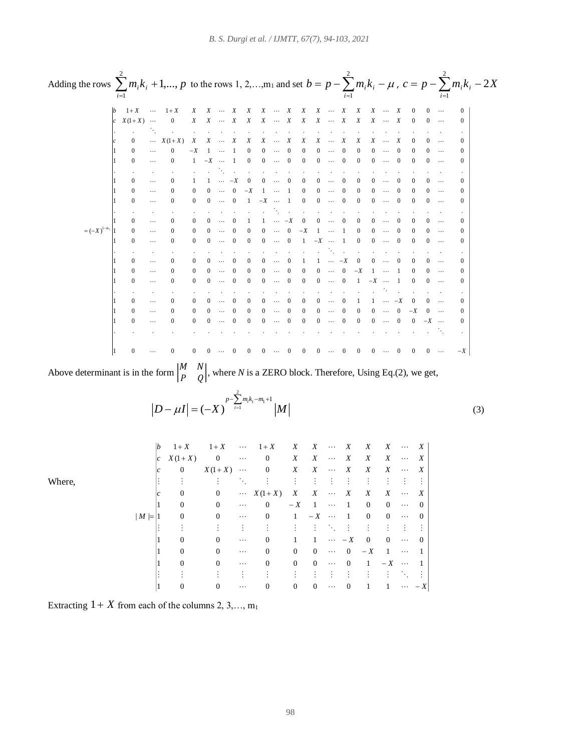| Adding the rows $\sum_{i=1}^{k} m_i k_i + 1, , p$ to the rows 1, 2, , $m_1$ and set $b = p - \sum_{i=1}^{k} m_i k_i - \mu$ , $c = p - \sum_{i=1}^{k} m_i k_i - 2X$ |                      |                            |                                         |                |                                  |              |                                           |                |                                                                                                                        |              |              |                |              |                |                                                   |              |                                                                                                                               |                              |          |
|--------------------------------------------------------------------------------------------------------------------------------------------------------------------|----------------------|----------------------------|-----------------------------------------|----------------|----------------------------------|--------------|-------------------------------------------|----------------|------------------------------------------------------------------------------------------------------------------------|--------------|--------------|----------------|--------------|----------------|---------------------------------------------------|--------------|-------------------------------------------------------------------------------------------------------------------------------|------------------------------|----------|
|                                                                                                                                                                    |                      |                            | $1+X$ $1+X$ x x  x x x  x x x  x x x  x |                |                                  |              |                                           |                |                                                                                                                        |              |              |                |              |                |                                                   |              |                                                                                                                               |                              |          |
|                                                                                                                                                                    | $ c \tX(1+X) \cdots$ |                            | $\overline{0}$                          |                |                                  |              |                                           |                | X X ··· X X X ··· X X X ··· X X X ··· X                                                                                |              |              |                |              |                |                                                   |              | $\Omega$                                                                                                                      | $(1 \ldots$                  | $\Omega$ |
|                                                                                                                                                                    |                      |                            |                                         |                |                                  |              |                                           |                |                                                                                                                        |              |              |                |              |                |                                                   |              |                                                                                                                               |                              |          |
|                                                                                                                                                                    | $\Omega$             |                            | $\cdots X(1+X)$                         |                |                                  |              |                                           |                | $X$ $X$ $\cdots$ $X$ $X$ $X$ $\cdots$ $X$ $X$ $X$ $\cdots$ $X$                                                         |              |              |                |              |                | $X \quad X \quad \cdots \quad X$                  |              | $\Omega$                                                                                                                      | $0 \cdots$                   | $\Omega$ |
|                                                                                                                                                                    | $\Omega$             | $\ldots$                   | $\Omega$                                |                | $-X$ 1 $\cdots$ 1                |              |                                           | $\mathbf{0}$   |                                                                                                                        |              |              | $0 \cdots 0 0$ | $0 \cdots$   | $\overline{0}$ | $0 \quad 0 \quad \cdots \quad 0$                  |              | $\sim 0$                                                                                                                      | $0 \cdots$                   | $\Omega$ |
|                                                                                                                                                                    | $\Omega$             | $\cdots$                   | $\Omega$                                |                | $1 -X \cdots 1$                  |              |                                           |                | $0 \quad 0 \quad \cdots \quad 0 \quad 0$                                                                               |              |              |                |              |                | $0 \cdots 0 0 0 \cdots 0$                         |              |                                                                                                                               |                              | $\Omega$ |
|                                                                                                                                                                    |                      |                            |                                         |                |                                  |              |                                           |                |                                                                                                                        |              |              |                |              |                |                                                   |              |                                                                                                                               |                              |          |
|                                                                                                                                                                    | $\Omega$             | $\ldots$                   | $\Omega$                                |                |                                  |              | $1 \quad 1 \quad \cdots \quad -X \quad 0$ |                |                                                                                                                        |              |              |                |              |                | $0 \cdots 0 0 0 \cdots 0 0 0 \cdots 0$            |              | $\Omega$                                                                                                                      | $0 \cdots$                   | $\Omega$ |
|                                                                                                                                                                    | $\Omega$             | $\ldots$                   |                                         |                |                                  |              |                                           |                | $0 \t 0 \t \cdots \t 0 \t -X \t 1 \t \cdots \t 1$                                                                      |              |              | $\sim 0$       | $0 \cdots 0$ |                | $0 \quad 0 \quad \cdots \quad 0$                  |              |                                                                                                                               | $0 \cdots$                   |          |
|                                                                                                                                                                    | $\Omega$             | $\dots$                    |                                         | $\theta$       |                                  |              |                                           |                | $0 \cdots 0 \quad 1 \quad -X \quad \cdots \quad 1$                                                                     |              |              | $\overline{0}$ | $0 \cdots 0$ |                | $0 \quad 0 \quad \cdots \quad 0$                  |              |                                                                                                                               | $\sim$ 100 $\sim$ 100 $\sim$ | $\Omega$ |
|                                                                                                                                                                    |                      |                            |                                         |                |                                  |              |                                           |                |                                                                                                                        |              |              |                |              |                |                                                   |              |                                                                                                                               |                              |          |
| $=(-X)^{1-m_1}\begin{vmatrix} 1 & 0 & \cdots & 0 \\ 1 & 0 & \cdots & 0 \\ 1 & 0 & \cdots & 0 \end{vmatrix}$                                                        |                      |                            |                                         |                |                                  |              |                                           |                | $0 \qquad 0 \qquad \cdots \qquad 0 \qquad 1 \qquad 1 \qquad \cdots \qquad -X \qquad 0 \qquad 0 \qquad \cdots \qquad 0$ |              |              |                |              |                | $0 \quad 0 \quad \cdots \quad 0$                  |              | $\sim 0$                                                                                                                      | $0 \cdots$                   | $\Omega$ |
|                                                                                                                                                                    |                      |                            |                                         |                |                                  |              |                                           |                | $0 \t 0 \t \cdots \t 0 \t 0 \t 0 \t \cdots \t 0 \t -X \t 1 \t \cdots \t 1$                                             |              |              |                |              |                | $0 \quad 0 \quad \cdots$                          |              | $\overline{0}$                                                                                                                |                              |          |
|                                                                                                                                                                    |                      |                            |                                         |                | $0 \quad 0 \quad \cdots \quad 0$ |              |                                           |                | $0 \t 0 \t \cdots \t 0 \t 1 \t -X \t \cdots \t 1$                                                                      |              |              |                |              |                | $0 \quad 0 \quad \cdots \quad 0$                  |              |                                                                                                                               | $0 \cdots$                   | $\Omega$ |
|                                                                                                                                                                    |                      |                            |                                         |                |                                  |              |                                           |                |                                                                                                                        |              |              |                |              |                |                                                   |              |                                                                                                                               |                              |          |
|                                                                                                                                                                    | $\theta$             | $\sim$ $\sim$              | $\overline{0}$                          | $\overline{0}$ | $0 \cdots$                       |              | $\overline{0}$                            | $\overline{0}$ |                                                                                                                        |              | $0 \cdots 0$ |                |              |                | $1 \quad 1 \quad \cdots \quad -X \quad 0$         | $0 \cdots 0$ | $\overline{0}$                                                                                                                | $0 \cdots$                   | $\Omega$ |
|                                                                                                                                                                    | $\overline{0}$       | $\sim$ 100 $\pm$ 100 $\pm$ | $\overline{0}$                          | $\bf{0}$       |                                  | $0 \cdots 0$ |                                           |                | $0 \quad 0 \quad \cdots \quad 0$                                                                                       |              |              |                |              |                | $0 \t 0 \t \cdots \t 0 \t -X \t 1 \t \cdots \t 1$ |              | $\overline{0}$                                                                                                                | $0 \cdots$                   |          |
|                                                                                                                                                                    | $\Omega$             | $\cdots$                   |                                         | $\Omega$       |                                  | $0 \cdots 0$ |                                           | $\Omega$       |                                                                                                                        | $0 \cdots 0$ |              |                |              |                | $0 \t 0 \t \cdots \t 0 \t 1 \t -X \t \cdots \t 1$ |              | $\left( \right)$                                                                                                              | $0 \cdots$                   | $\Omega$ |
|                                                                                                                                                                    |                      |                            |                                         |                |                                  |              |                                           |                |                                                                                                                        |              |              |                |              |                |                                                   |              |                                                                                                                               |                              |          |
|                                                                                                                                                                    | $\Omega$             | $\sim 100$ and $\sim 100$  |                                         | $\Omega$       |                                  | $0 \cdots$   | $\overline{0}$                            |                | $0 \quad 0 \quad \cdots \quad 0$                                                                                       |              |              | $\overline{0}$ |              |                | $0 \cdots 0 \quad 1 \quad 1 \cdots -X$            |              | $\overline{0}$                                                                                                                | $0 \cdots$                   | $\Omega$ |
|                                                                                                                                                                    | $\overline{0}$       | $\cdots$                   |                                         | $\theta$       |                                  | $0 \cdots 0$ |                                           | $\overline{0}$ |                                                                                                                        |              | $0 \cdots 0$ | $\sim 0$       |              |                |                                                   |              | $0 \cdots 0 0 0 \cdots 0 -X 0 \cdots$                                                                                         |                              | $\Omega$ |
|                                                                                                                                                                    | 0                    | $\cdots$                   |                                         | $\Omega$       |                                  | $0 \cdots 0$ |                                           | $\theta$       |                                                                                                                        |              |              |                |              |                | $0 \cdots 0 0 0 \cdots 0 0 0 \cdots$              |              | $0 \quad -X \quad \cdots$                                                                                                     |                              | $\Omega$ |
|                                                                                                                                                                    |                      |                            |                                         |                |                                  |              |                                           |                |                                                                                                                        |              |              |                |              |                |                                                   |              |                                                                                                                               |                              |          |
|                                                                                                                                                                    | $\Omega$             |                            | $\Omega$                                |                | $0 \quad 0 \quad \cdots \quad 0$ |              |                                           |                |                                                                                                                        |              |              |                |              |                |                                                   |              | $0\qquad 0\quad \cdots\quad 0\qquad 0\quad 0\quad \cdots\quad 0\qquad 0\quad 0\quad \cdots\quad 0\qquad 0\quad 0\quad \cdots$ |                              | $-X$     |

Above determinant is in the form  $\begin{bmatrix} M & N \\ D & Q \end{bmatrix}$  $\begin{bmatrix} a & b \\ P & Q \end{bmatrix}$ , where *N* is a ZERO block. Therefore, Using Eq.(2), we get,

> 2  $1^{m_i \kappa_i - m_1}$ 1  $(-X)^{p-\sum_{i=1}^{\infty}m_i k_i-m}$  $[D - \mu I] = (-X)$   $i=1$   $|M$  $-\mu I| = (-X)^{p-\sum_{i=1}^{N} m_i k_i - m_1 + 1} |M|$  (3)

Where,

*X* 1 0 0 0 0 0 0 1 1 *X X X X X <sup>c</sup> X X X X X X X X <sup>c</sup> X X X X X X X X <sup>c</sup> X X X X X X X X b X X X X X X X X X M* 1 0 0 0 0 0 0 1 1 1 0 0 0 0 0 0 1 1 1 0 0 0 1 1 0 0 0 1 0 0 0 1 1 0 0 0 1 0 0 0 1 1 0 0 0 0 0 (1 ) 0 (1 ) 0 (1 ) 0 0 1 1 1 | |

Extracting  $1 + X$  from each of the columns 2, 3,..., m<sub>1</sub>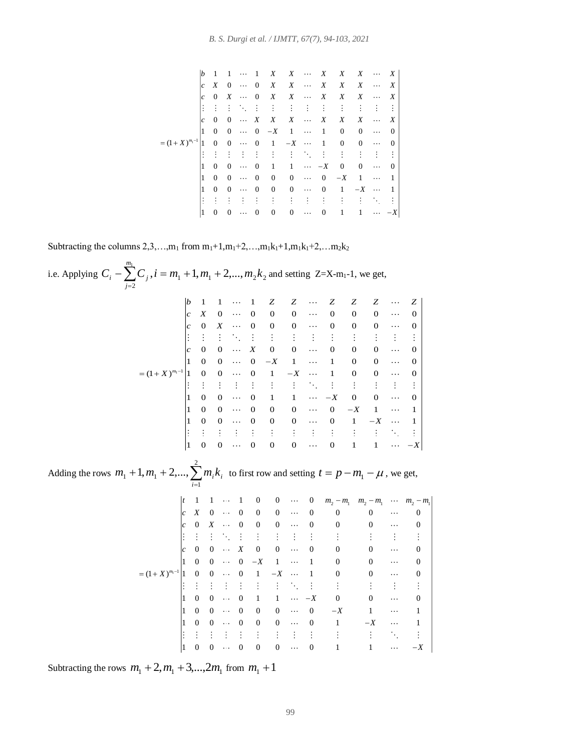<sup>1</sup> 1 1 1 1 0 0 0 0 0 0 1 0 0 0 1 1 0 0 0 (1 ) 1 0 0 0 1 1 0 0 0 1 0 0 0 1 1 0 0 0 1 0 0 0 0 0 0 1 1 1 0 0 0 0 0 0 1 1 1 0 0 0 0 0 0 1 1 *m b X X X X X X c X X X X X X X c X X X X X X X c X X X X X X X X X X X X X X* 

Subtracting the columns  $2,3,...,m_1$  from  $m_1+1,m_1+2,...,m_1k_1+1,m_1k_1+2,...m_2k_2$ 

i.e. Applying 1 1 2 2 2 , 1, 2,..., 1 *C C i <sup>m</sup> <sup>m</sup> <sup>m</sup> k m j <sup>i</sup> <sup>j</sup>* and setting Z=X-m1-1, we get, <sup>1</sup> 1 1 1 1 0 0 0 0 0 0 0 0 0 0 0 0 0 0 0 0 0 0 0 0 0 0 0 0 1 0 0 0 1 1 0 0 0 (1 ) 1 0 0 0 1 1 0 0 0 1 0 0 0 1 1 0 0 0 1 0 0 0 0 0 0 1 1 1 0 0 0 0 0 0 1 1 1 0 0 0 0 0 0 1 1 *m b Z Z Z Z Z Z c X c X c X X X X X X X X* Adding the rows 2 1 <sup>1</sup> <sup>1</sup> 1, 2,..., *i <sup>i</sup> <sup>i</sup> <sup>m</sup> <sup>m</sup> <sup>m</sup> k* to first row and setting *t p m*<sup>1</sup> , we get, 1 2 1 2 1 2 1 1 1 1 1 0 0 0 0 0 0 0 0 0 0 0 0 0 0 0 0 0 0 0 0 0 0 0 0 0 0 0 1 0 0 0 1 1 0 0 0 (1 ) 1 0 0 0 1 1 0 0 0 1 0 0 0 1 1 0 0 0 1 0 0 0 0 0 0 1 1 1 0 0 0 0 0 0 1 1 *m t m m m m m m c X c X c X X X X X X X* 

Subtracting the rows  $m_1 + 2, m_1 + 3, ..., 2m_1$  from  $m_1 + 1$ 

1 0 0 0 0 0 0 1 1

*X*

 $^{-}$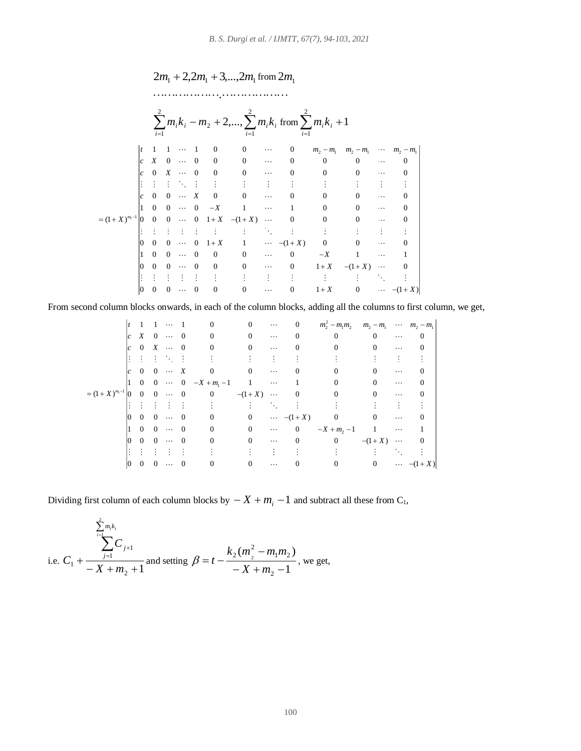## $2m_1 + 2, 2m_1 + 3, \ldots, 2m_1$  from  $2m_1$

.

|                  |     | $i=1$            |              |           |                |                | $i=1$          |           | $\sum m_i k_i - m_2 + 2, , \sum m_i k_i$ from $\sum m_i k_i + 1$<br>$i=1$ |             |             |           |             |
|------------------|-----|------------------|--------------|-----------|----------------|----------------|----------------|-----------|---------------------------------------------------------------------------|-------------|-------------|-----------|-------------|
|                  |     | 1                |              |           |                | $\mathbf{0}$   | $\Omega$       |           | $\Omega$                                                                  | $m_2 - m_1$ | $m_2 - m_1$ | $\cdots$  | $m_2 - m_1$ |
|                  | lc. | $\boldsymbol{X}$ | $\theta$     | $\ddotsc$ | $\Omega$       | $\Omega$       | $\mathbf{0}$   | $\cdots$  |                                                                           | $\Omega$    |             | $\cdots$  |             |
|                  | lc. | $\Omega$         | X            | $\ddotsc$ | $\Omega$       | $\Omega$       | $\theta$       | $\cdots$  |                                                                           | 0           | 0           | $\cdots$  |             |
|                  |     |                  |              |           |                |                |                |           |                                                                           |             |             |           |             |
|                  | lc  | $\Omega$         | $\Omega$     | $\cdots$  | X              | $\Omega$       | $\Omega$       | $\cdots$  | $\Omega$                                                                  | $\Omega$    | 0           | $\cdots$  |             |
|                  |     | $\Omega$         | $\Omega$     | $\cdots$  | $\overline{0}$ | $-X$           | 1              | $\cdots$  |                                                                           | 0           | $\Omega$    | $\cdots$  |             |
| $=(1+X)^{m_1-1}$ | 10  | $\Omega$         | $\mathbf{0}$ | $\ldots$  | $\overline{0}$ |                | $1+X - (1+X)$  | $\ldots$  | $\overline{0}$                                                            | 0           | 0           | $\cdots$  |             |
|                  |     |                  |              |           |                |                |                | ٠.        |                                                                           |             |             |           |             |
|                  | 10  | $\Omega$         | $\Omega$     | $\ddotsc$ | $\Omega$       | $1+X$          |                | $\ldots$  | $-(1+X)$                                                                  | 0           |             | $\cdots$  |             |
|                  |     | $\Omega$         | $\Omega$     | $\ddotsc$ | $\Omega$       | $\Omega$       | $\mathbf{0}$   | $\cdots$  | $\Omega$                                                                  | $-X$        |             | $\cdots$  |             |
|                  | 10  | $\Omega$         | $\Omega$     |           | $\Omega$       | $\mathbf{0}$   | $\overline{0}$ | $\ddotsc$ | $\mathbf{0}$                                                              | $1+X$       | $-(1+X)$    | $\ddotsc$ |             |
|                  |     |                  |              |           |                |                |                | ÷         |                                                                           |             |             |           |             |
|                  | 10  | $\mathbf{0}$     | $\Omega$     |           | $\mathbf{0}$   | $\overline{0}$ | 0              |           |                                                                           | $1+X$       | 0           | $\cdots$  | $-(1+X)$    |

From second column blocks onwards, in each of the column blocks, adding all the columns to first column, we get,

| t   | 1   | 1   | 0   | 0   | 0   | 0   | $m_2^2 - m_1m_2$ | $m_2 - m_1$ | $m_2 - m_1$ |   |   |
|-----|-----|-----|-----|-----|-----|-----|------------------|-------------|-------------|---|---|
| c   | X   | 0   | 0   | 0   | 0   | 0   | 0                | 0           | 0           | 0 |   |
| c   | 0   | X   | 0   | 0   | 0   | 0   | 0                | 0           | 0           | 0 |   |
| ... | ... | ... | ... | ... | 0   | 0   | 0                | 0           | 0           | 0 |   |
| ... | ... | ... | ... | ... | ... | ... | ...              | ...         | ...         |   |   |
| c   | 0   | 0   | 0   | 0   | 0   | 0   | 0                | 0           | 0           | 0 | 0 |
| ... | ... | ... | 1   | 0   | 0   | 0   | 0                | 0           | 0           |   |   |
| ... | ... | ... | ... | ... | ... | ... | ...              | ...         | ...         |   |   |
| 0   | 0   | 0   | 0   | 0   | 0   | 0   | 0                | 0           | 0           | 0 |   |
| ... | 0   | 0   | 0   |     |     |     |                  |             |             |   |   |

Dividing first column of each column blocks by  $X + m_i - 1$  and subtract all these from  $C_1$ ,

i.e. 
$$
C_1 + \frac{\sum_{i=1}^{2} m_i k_i}{-X + m_2 + 1}
$$
 and setting  $\beta = t - \frac{k_2 (m_2^2 - m_1 m_2)}{-X + m_2 - 1}$ , we get,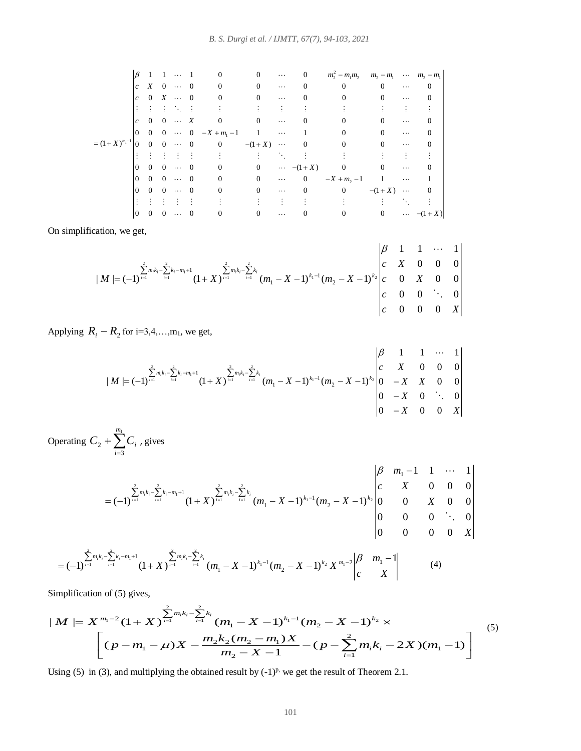1 2 2 1 2 2 1 2 1 1 1 2 1 1 1 0 0 0 0 0 0 0 0 0 0 0 0 0 0 0 0 0 0 0 0 0 0 0 0 0 0 0 0 0 0 0 1 1 1 0 0 0 (1 ) 0 0 0 0 0 (1 ) 0 0 0 0 0 0 0 0 0 0 (1 ) 0 0 0 0 0 0 0 0 0 0 1 1 1 0 0 0 0 0 0 0 0 (1 ) 0 *m m m m m m m m c X c X c X X m X X X X m X* 0 0 0 0 0 0 0 0 0 (1 ) *X*

On simplification, we get,

$$
|M| = (-1)^{\sum_{i=1}^{2} m_i k_i - \sum_{i=1}^{2} k_i - m_1 + 1} (1 + X)^{\sum_{i=1}^{2} m_i k_i - \sum_{i=1}^{2} k_i} (m_1 - X - 1)^{k_1 - 1} (m_2 - X - 1)^{k_2} \begin{vmatrix} \beta & 1 & 1 & \cdots & 1 \\ c & X & 0 & 0 & 0 \\ c & 0 & X & 0 & 0 \\ c & 0 & 0 & 0 & X \end{vmatrix}
$$

Applying  $R_i - R_2$  for i=3,4,...,m<sub>1</sub>, we get,

$$
|M| = (-1)^{\sum_{i=1}^{2} m_i k_i - \sum_{i=1}^{2} k_i - m_1 + 1} (1 + X)^{\sum_{i=1}^{2} m_i k_i - \sum_{i=1}^{2} k_i} (m_1 - X - 1)^{k_1 - 1} (m_2 - X - 1)^{k_2} \begin{vmatrix} \beta & 1 & 1 & \cdots & 1 \\ c & X & 0 & 0 & 0 \\ 0 & -X & X & 0 & 0 \\ 0 & -X & 0 & 0 & X \end{vmatrix}
$$

Operating  $C_2 + \sum_{i=3}$  $\, + \,$ 3 2 *m i*  $C_2 + \sum C_i$ , gives

$$
= (-1)^{\sum_{i=1}^{2} m_{i}k_{i} - \sum_{i=1}^{2} k_{i} - m_{1} + 1} (1 + X)^{\sum_{i=1}^{2} m_{i}k_{i} - \sum_{i=1}^{2} k_{i}} (m_{1} - X - 1)^{k_{1} - 1} (m_{2} - X - 1)^{k_{2}} \begin{vmatrix} \beta & m_{1} - 1 & 1 & \cdots & 1 \\ c & X & 0 & 0 & 0 \\ 0 & 0 & X & 0 & 0 \\ 0 & 0 & 0 & \ddots & 0 \\ 0 & 0 & 0 & X \end{vmatrix}
$$

$$
= (-1)^{\sum_{i=1}^{2} m_{i}k_{i} - \sum_{i=1}^{2} k_{i} - m_{1} + 1} (1 + X)^{\sum_{i=1}^{2} m_{i}k_{i} - \sum_{i=1}^{2} k_{i}} (m_{1} - X - 1)^{k_{1} - 1} (m_{2} - X - 1)^{k_{2}} X^{m_{1} - 2} \begin{vmatrix} \beta & m_{1} - 1 \\ c & X \end{vmatrix}
$$
\nmplification of (5) gives,

\n
$$
M \mid = X^{m_{1} - 2} (1 + X)^{\sum_{i=1}^{2} m_{i}k_{i} - \sum_{i=1}^{2} k_{i}} (m_{1} - X - 1)^{k_{1} - 1} (m_{2} - X - 1)^{k_{2}} \times
$$

Simplification of (5) gives,

$$
= (-1) \t (1 + \lambda) \t (m_1 - \lambda - 1) \t (m_2 - \lambda - 1) \t \lambda \t (m_3 - \lambda - 1) \t (m_4 - \lambda - 1) \t (m_5 - \lambda - 1) \t (m_6 - \lambda - 1) \t (m_7 - \lambda - 1) \t (m_8 - \lambda - 1) \t (m_9 - \lambda - 1) \t (m_9 - \lambda - 1) \t (m_9 - \lambda - 1) \t (m_1 - \lambda - 1) \t (m_1 - \lambda - 1) \t (m_2 - \lambda - 1) \t (m_3 - \lambda - 1) \t (m_1 - \lambda - 1) \t (m_2 - \lambda - 1) \t (m_3 - \lambda - 1) \t (m_1 - \lambda - 1) \t (m_2 - \lambda - 1) \t (m_3 - \lambda - 1) \t (m_4 - \lambda - 1) \t (m_5 - \lambda - 1) \t (m_6 - \lambda - 1) \t (m_7 - \lambda - 1) \t (m_8 - \lambda - 1) \t (m_9 - \lambda - 1) \t (m_1 - \lambda - 1) \t (m_1 - \lambda - 1) \t (m_2 - \lambda - 1) \t (m_3 - \lambda - 1) \t (m_1 - \lambda - 1) \t (m_2 - \lambda - 1) \t (m_3 - \lambda - 1) \t (m_3 - \lambda - 1) \t (m_3 - \lambda - 1) \t (m_3 - \lambda - 1) \t (m_3 - \lambda - 1) \t (m_3 - \lambda - 1) \t (m_3 - \lambda - 1) \t (m_3 - \lambda - 1) \t (m_3 - \lambda - 1) \t (m_3 - \lambda - 1) \t (m_3 - \lambda - 1) \t (m_3 - \lambda - 1) \t (m_3 - \lambda - 1) \t (m_1 - \lambda - 1) \t (m_2 - \lambda - 1) \t (m_3 - \lambda - 1) \t (m_2 - \lambda - 1) \t (m_3 - \lambda - 1) \t (m_3 - \lambda - 1) \t (m_4 - \lambda - 1) \t (m_5 - \lambda - 1) \t (m_6 - \lambda - 1) \t (m_7 - \lambda - 1) \t (m_8 - \lambda - 1) \t
$$

Using (5) in (3), and multiplying the obtained result by  $(-1)^{p}$ , we get the result of Theorem 2.1.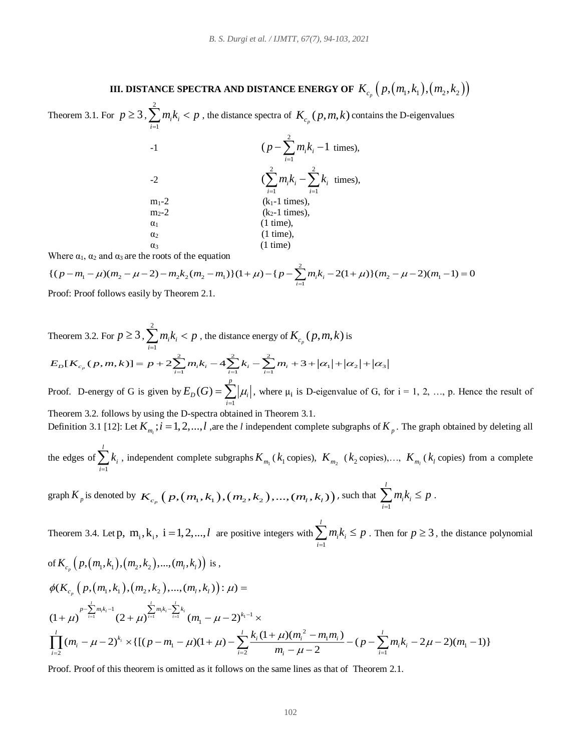## **III. DISTANCE SPECTRA AND DISTANCE ENERGY OF**  $\mathit{K}_{c_{p}}\left(p,\left(m_{1},k_{1}\right),\left(m_{2},k_{2}\right)\right)$

Theorem 3.1. For  $p \ge 3$ , 2 1 *i i i*  $\sum_{i=1}^{n} m_i k_i < p$ , the distance spectra of  $K_{c_p}(p, m, k)$  contains the D-eigenvalues

| $-1$       | $(p - \sum m_i k_i - 1$ times),<br>$i=1$              |
|------------|-------------------------------------------------------|
| $-2$       | $(\sum m_i k_i - \sum k_i)$ times),<br>$i=1$<br>$i=1$ |
| $m_1-2$    | $(k_1-1$ times),                                      |
| $m2-2$     | $(k2-1 times)$ ,                                      |
| $\alpha_1$ | $(1 \text{ time})$ ,                                  |
| $\alpha_2$ | $(1 \text{ time})$ .                                  |
| $\alpha_3$ | $(1 \text{ time})$                                    |

Where  $\alpha_1$ ,  $\alpha_2$  and  $\alpha_3$  are the roots of the equation

$$
\{(p-m_1-\mu)(m_2-\mu-2)-m_2k_2(m_2-m_1)\}(1+\mu)-\{p-\sum_{i=1}^2m_ik_i-2(1+\mu)\}(m_2-\mu-2)(m_1-1)=0\}
$$
Proof: Proof follows easily by Theorem 2.1

Proof: Proof follows easily by Theorem 2.1.

Theorem 3.2. For 
$$
p \ge 3
$$
,  $\sum_{i=1}^{2} m_i k_i < p$ , the distance energy of  $K_{c_p}(p,m,k)$  is  
\n
$$
E_D[K_{c_p}(p,m,k)] = p + 2 \sum_{i=1}^{2} m_i k_i - 4 \sum_{i=1}^{2} k_i - \sum_{i=1}^{2} m_i + 3 + |\alpha_1| + |\alpha_2| + |\alpha_3|
$$
\nProof. D-energy of G is given by  $E_D(G) = \sum_{i=1}^{p} |\mu_i|$ , where  $\mu_i$  is D-eigenvalue of G, for  $i = 1, 2, ..., p$ . Hence the result of Theorem 3.2. follows by using the D-spectra obtained in Theorem 3.1.  
\nDefinition 3.1 [12]: Let  $K_{m_i}$ ;  $i = 1, 2, ..., l$ , are the *l* independent complete subgraphs of  $K_p$ . The graph obtained by deleting all

the edges of 
$$
\sum_{i=1}^{l} k_i
$$
, independent complete subgraphs  $K_{m_1}(k_1 \text{ copies}), K_{m_2}(k_2 \text{ copies}), \ldots, K_{m_l}(k_l \text{ copies})$  from a complete

graph 
$$
K_p
$$
 is denoted by  $K_{c_p}$   $(p, (m_1, k_1), (m_2, k_2), ..., (m_l, k_l))$ , such that  $\sum_{i=1}^{l} m_i k_i \leq p$ .

Theorem 3.4. Let p,  $m_i, k_i$ ,  $i = 1, 2, ..., l$  are positive integers with 1 *i i i*  $\sum_{i=1}^{n} m_i k_i \leq p$ . Then for  $p \geq 3$ , the distance polynomial

of 
$$
K_{c_p}(p,(m_1,k_1),(m_2,k_2),..., (m_l,k_l))
$$
 is,  
\n
$$
\phi(K_{c_p}(p,(m_1,k_1),(m_2,k_2),..., (m_l,k_l)) : \mu) =
$$
\n
$$
(1+\mu)^{p-\sum_{i=1}^{l}m_ik_i-1} (2+\mu)^{\sum_{i=1}^{l}m_ik_i-\sum_{i=1}^{l}k_i} (m_1-\mu-2)^{k_1-1} \times
$$
\n
$$
\prod_{i=2}^{l} (m_i-\mu-2)^{k_i} \times \{[(p-m_1-\mu)(1+\mu)-\sum_{i=2}^{l} \frac{k_i(1+\mu)(m_i^2-m_1m_i)}{m_i-\mu-2}-(p-\sum_{i=1}^{l}m_ik_i-2\mu-2)(m_1-1)\}
$$

Proof. Proof of this theorem is omitted as it follows on the same lines as that of Theorem 2.1.